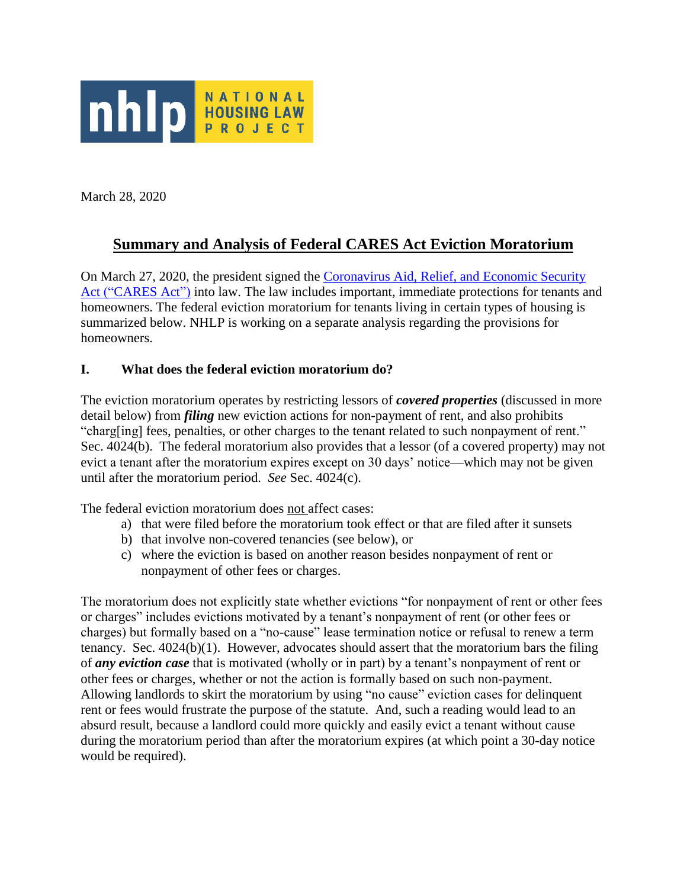

March 28, 2020

# **Summary and Analysis of Federal CARES Act Eviction Moratorium**

On March 27, 2020, the president signed the [Coronavirus Aid, Relief, and Economic Security](https://www.congress.gov/116/bills/hr748/BILLS-116hr748eas.pdf)  [Act \("CARES Act"\)](https://www.congress.gov/116/bills/hr748/BILLS-116hr748eas.pdf) into law. The law includes important, immediate protections for tenants and homeowners. The federal eviction moratorium for tenants living in certain types of housing is summarized below. NHLP is working on a separate analysis regarding the provisions for homeowners.

#### **I. What does the federal eviction moratorium do?**

The eviction moratorium operates by restricting lessors of *covered properties* (discussed in more detail below) from *filing* new eviction actions for non-payment of rent, and also prohibits "charg[ing] fees, penalties, or other charges to the tenant related to such nonpayment of rent." Sec. 4024(b). The federal moratorium also provides that a lessor (of a covered property) may not evict a tenant after the moratorium expires except on 30 days' notice—which may not be given until after the moratorium period. *See* Sec. 4024(c).

The federal eviction moratorium does not affect cases:

- a) that were filed before the moratorium took effect or that are filed after it sunsets
- b) that involve non-covered tenancies (see below), or
- c) where the eviction is based on another reason besides nonpayment of rent or nonpayment of other fees or charges.

The moratorium does not explicitly state whether evictions "for nonpayment of rent or other fees or charges" includes evictions motivated by a tenant's nonpayment of rent (or other fees or charges) but formally based on a "no-cause" lease termination notice or refusal to renew a term tenancy. Sec. 4024(b)(1). However, advocates should assert that the moratorium bars the filing of *any eviction case* that is motivated (wholly or in part) by a tenant's nonpayment of rent or other fees or charges, whether or not the action is formally based on such non-payment. Allowing landlords to skirt the moratorium by using "no cause" eviction cases for delinquent rent or fees would frustrate the purpose of the statute. And, such a reading would lead to an absurd result, because a landlord could more quickly and easily evict a tenant without cause during the moratorium period than after the moratorium expires (at which point a 30-day notice would be required).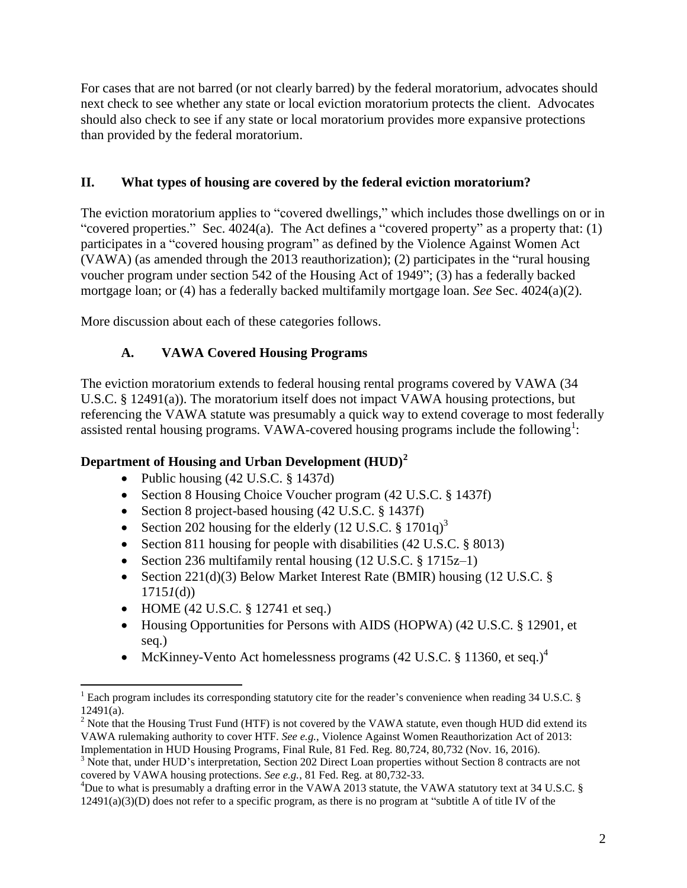For cases that are not barred (or not clearly barred) by the federal moratorium, advocates should next check to see whether any state or local eviction moratorium protects the client. Advocates should also check to see if any state or local moratorium provides more expansive protections than provided by the federal moratorium.

#### **II. What types of housing are covered by the federal eviction moratorium?**

The eviction moratorium applies to "covered dwellings," which includes those dwellings on or in "covered properties." Sec. 4024(a). The Act defines a "covered property" as a property that: (1) participates in a "covered housing program" as defined by the Violence Against Women Act (VAWA) (as amended through the 2013 reauthorization); (2) participates in the "rural housing voucher program under section 542 of the Housing Act of 1949"; (3) has a federally backed mortgage loan; or (4) has a federally backed multifamily mortgage loan. *See* Sec. 4024(a)(2).

More discussion about each of these categories follows.

# **A. VAWA Covered Housing Programs**

The eviction moratorium extends to federal housing rental programs covered by VAWA (34 U.S.C. § 12491(a)). The moratorium itself does not impact VAWA housing protections, but referencing the VAWA statute was presumably a quick way to extend coverage to most federally assisted rental housing programs. VAWA-covered housing programs include the following<sup>1</sup>:

# **Department of Housing and Urban Development (HUD)<sup>2</sup>**

- Public housing  $(42 \text{ U.S.C.} \$ 1437d)$
- Section 8 Housing Choice Voucher program (42 U.S.C. § 1437f)
- Section 8 project-based housing (42 U.S.C. § 1437f)
- Section 202 housing for the elderly (12 U.S.C.  $\S$  1701q)<sup>3</sup>
- Section 811 housing for people with disabilities (42 U.S.C. § 8013)
- Section 236 multifamily rental housing  $(12 \text{ U.S.C.} \S 1715z-1)$
- Section 221(d)(3) Below Market Interest Rate (BMIR) housing (12 U.S.C. § 1715*1*(d))
- HOME (42 U.S.C.  $\S$  12741 et seq.)
- Housing Opportunities for Persons with AIDS (HOPWA) (42 U.S.C. § 12901, et seq.)
- McKinney-Vento Act homelessness programs (42 U.S.C. § 11360, et seq.)<sup>4</sup>

 $\overline{a}$ <sup>1</sup> Each program includes its corresponding statutory cite for the reader's convenience when reading 34 U.S.C. § 12491(a).

 $2$  Note that the Housing Trust Fund (HTF) is not covered by the VAWA statute, even though HUD did extend its VAWA rulemaking authority to cover HTF. *See e.g.*, Violence Against Women Reauthorization Act of 2013: Implementation in HUD Housing Programs, Final Rule, 81 Fed. Reg. 80,724, 80,732 (Nov. 16, 2016).

<sup>&</sup>lt;sup>3</sup> Note that, under HUD's interpretation, Section 202 Direct Loan properties without Section 8 contracts are not covered by VAWA housing protections. *See e.g.*, 81 Fed. Reg. at 80,732-33.

<sup>&</sup>lt;sup>4</sup>Due to what is presumably a drafting error in the VAWA 2013 statute, the VAWA statutory text at 34 U.S.C. § 12491(a)(3)(D) does not refer to a specific program, as there is no program at "subtitle A of title IV of the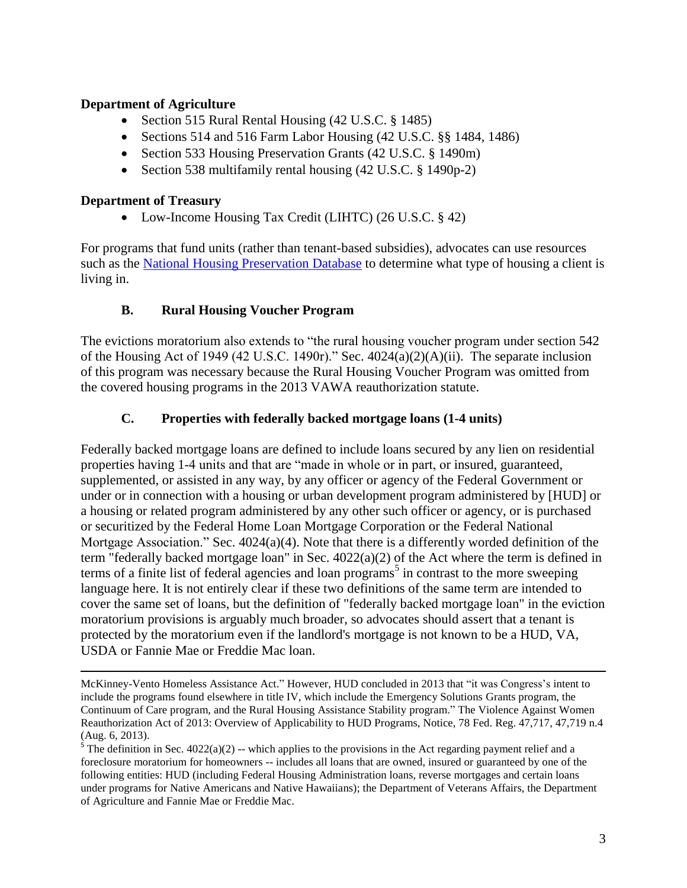#### **Department of Agriculture**

- Section 515 Rural Rental Housing (42 U.S.C. § 1485)
- Sections 514 and 516 Farm Labor Housing (42 U.S.C. §§ 1484, 1486)
- Section 533 Housing Preservation Grants (42 U.S.C. § 1490m)
- Section 538 multifamily rental housing (42 U.S.C. § 1490p-2)

#### **Department of Treasury**

 $\overline{a}$ 

• Low-Income Housing Tax Credit (LIHTC) (26 U.S.C. § 42)

For programs that fund units (rather than tenant-based subsidies), advocates can use resources such as the [National Housing Preservation Database](https://preservationdatabase.org/) to determine what type of housing a client is living in.

#### **B. Rural Housing Voucher Program**

The evictions moratorium also extends to "the rural housing voucher program under section 542 of the Housing Act of 1949 (42 U.S.C. 1490r)." Sec. 4024(a)(2)(A)(ii). The separate inclusion of this program was necessary because the Rural Housing Voucher Program was omitted from the covered housing programs in the 2013 VAWA reauthorization statute.

#### **C. Properties with federally backed mortgage loans (1-4 units)**

Federally backed mortgage loans are defined to include loans secured by any lien on residential properties having 1-4 units and that are "made in whole or in part, or insured, guaranteed, supplemented, or assisted in any way, by any officer or agency of the Federal Government or under or in connection with a housing or urban development program administered by [HUD] or a housing or related program administered by any other such officer or agency, or is purchased or securitized by the Federal Home Loan Mortgage Corporation or the Federal National Mortgage Association." Sec. 4024(a)(4). Note that there is a differently worded definition of the term "federally backed mortgage loan" in Sec. 4022(a)(2) of the Act where the term is defined in terms of a finite list of federal agencies and loan programs<sup>5</sup> in contrast to the more sweeping language here. It is not entirely clear if these two definitions of the same term are intended to cover the same set of loans, but the definition of "federally backed mortgage loan" in the eviction moratorium provisions is arguably much broader, so advocates should assert that a tenant is protected by the moratorium even if the landlord's mortgage is not known to be a HUD, VA, USDA or Fannie Mae or Freddie Mac loan.

McKinney-Vento Homeless Assistance Act." However, HUD concluded in 2013 that "it was Congress's intent to include the programs found elsewhere in title IV, which include the Emergency Solutions Grants program, the Continuum of Care program, and the Rural Housing Assistance Stability program." The Violence Against Women Reauthorization Act of 2013: Overview of Applicability to HUD Programs, Notice, 78 Fed. Reg. 47,717, 47,719 n.4 (Aug. 6, 2013).

<sup>&</sup>lt;sup>5</sup> The definition in Sec.  $4022(a)(2)$  -- which applies to the provisions in the Act regarding payment relief and a foreclosure moratorium for homeowners -- includes all loans that are owned, insured or guaranteed by one of the following entities: HUD (including Federal Housing Administration loans, reverse mortgages and certain loans under programs for Native Americans and Native Hawaiians); the Department of Veterans Affairs, the Department of Agriculture and Fannie Mae or Freddie Mac.